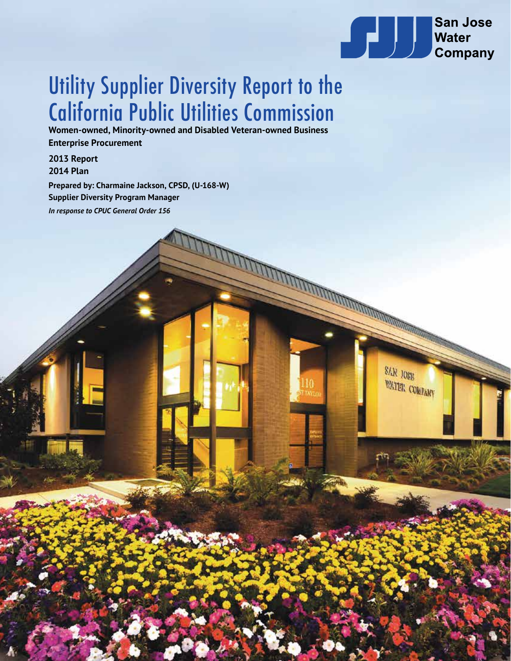

**THE CONSTRUCTION OF THE CONSTRUCTION OF THE CONSTRUCTION OF THE CONSTRUCTION OF THE CONSTRUCTION OF THE CONSTRUCTION OF THE CONSTRUCTION OF THE CONSTRUCTION OF THE CONSTRUCTION OF THE CONSTRUCTION OF THE CONSTRUCTION OF T** 

**SAR JOSE** 

WATER COMPANY

# Utility Supplier Diversity Report to the California Public Utilities Commission

**Women-owned, Minority-owned and Disabled Veteran-owned Business Enterprise Procurement**

**2013 Report 2014 Plan**

**Prepared by: Charmaine Jackson, CPSD, (U-168-W) Supplier Diversity Program Manager** *In response to CPUC General Order 156*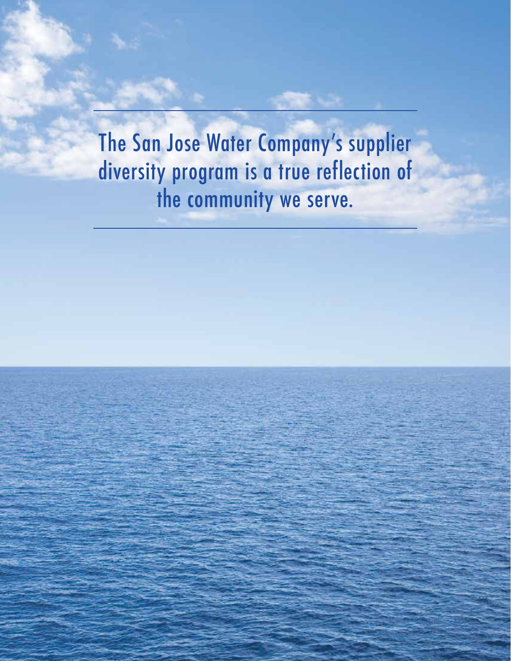The San Jose Water Company's supplier diversity program is a true reflection of the community we serve.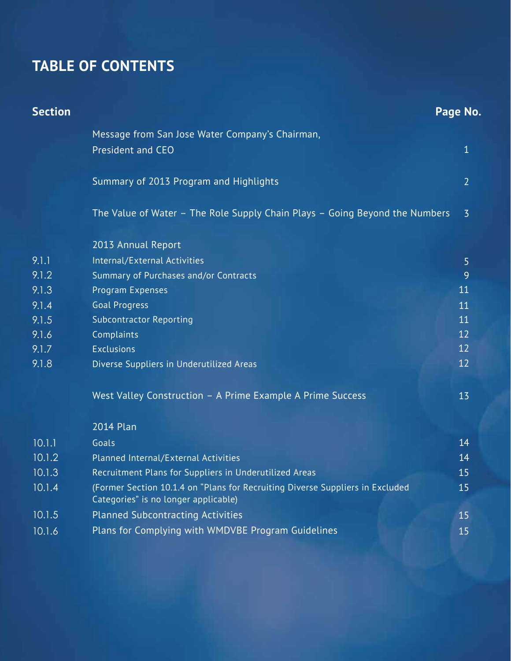## **TABLE OF CONTENTS**

| <b>Section</b> |                                                                                                                       | Page No.       |
|----------------|-----------------------------------------------------------------------------------------------------------------------|----------------|
|                | Message from San Jose Water Company's Chairman,                                                                       |                |
|                | President and CEO                                                                                                     | $\mathbf{1}$   |
|                | Summary of 2013 Program and Highlights                                                                                | $\overline{2}$ |
|                | The Value of Water - The Role Supply Chain Plays - Going Beyond the Numbers                                           | $\overline{3}$ |
|                | 2013 Annual Report                                                                                                    |                |
| 9.1.1          | Internal/External Activities                                                                                          | 5              |
| 9.1.2          | Summary of Purchases and/or Contracts                                                                                 | 9              |
| 9.1.3          | Program Expenses                                                                                                      | 11             |
| 9.1.4          | <b>Goal Progress</b>                                                                                                  | 11             |
| 9.1.5          | <b>Subcontractor Reporting</b>                                                                                        | 11             |
| 9.1.6          | Complaints                                                                                                            | 12             |
| 9.1.7          | <b>Exclusions</b>                                                                                                     | 12             |
| 9.1.8          | Diverse Suppliers in Underutilized Areas                                                                              | 12             |
|                | West Valley Construction - A Prime Example A Prime Success                                                            | 13             |
|                | 2014 Plan                                                                                                             |                |
| 10.1.1         | Goals                                                                                                                 | 14             |
| 10.1.2         | Planned Internal/External Activities                                                                                  | 14             |
| 10.1.3         | Recruitment Plans for Suppliers in Underutilized Areas                                                                | 15             |
| 10.1.4         | (Former Section 10.1.4 on "Plans for Recruiting Diverse Suppliers in Excluded<br>Categories" is no longer applicable) | 15             |
| 10.1.5         | <b>Planned Subcontracting Activities</b>                                                                              | 15             |
| 10.1.6         | Plans for Complying with WMDVBE Program Guidelines                                                                    | 15             |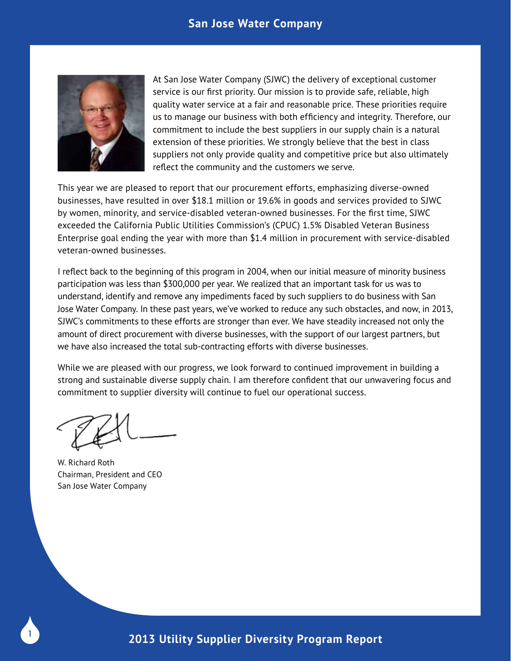### **San Jose Water Company**



At San Jose Water Company (SJWC) the delivery of exceptional customer service is our first priority. Our mission is to provide safe, reliable, high quality water service at a fair and reasonable price. These priorities require us to manage our business with both efficiency and integrity. Therefore, our commitment to include the best suppliers in our supply chain is a natural extension of these priorities. We strongly believe that the best in class suppliers not only provide quality and competitive price but also ultimately reflect the community and the customers we serve.

This year we are pleased to report that our procurement efforts, emphasizing diverse-owned businesses, have resulted in over \$18.1 million or 19.6% in goods and services provided to SJWC by women, minority, and service-disabled veteran-owned businesses. For the first time, SJWC exceeded the California Public Utilities Commission's (CPUC) 1.5% Disabled Veteran Business Enterprise goal ending the year with more than \$1.4 million in procurement with service-disabled veteran-owned businesses.

I reflect back to the beginning of this program in 2004, when our initial measure of minority business participation was less than \$300,000 per year. We realized that an important task for us was to understand, identify and remove any impediments faced by such suppliers to do business with San Jose Water Company. In these past years, we've worked to reduce any such obstacles, and now, in 2013, SJWC's commitments to these efforts are stronger than ever. We have steadily increased not only the amount of direct procurement with diverse businesses, with the support of our largest partners, but we have also increased the total sub-contracting efforts with diverse businesses.

While we are pleased with our progress, we look forward to continued improvement in building a strong and sustainable diverse supply chain. I am therefore confident that our unwavering focus and commitment to supplier diversity will continue to fuel our operational success.

W. Richard Roth Chairman, President and CEO San Jose Water Company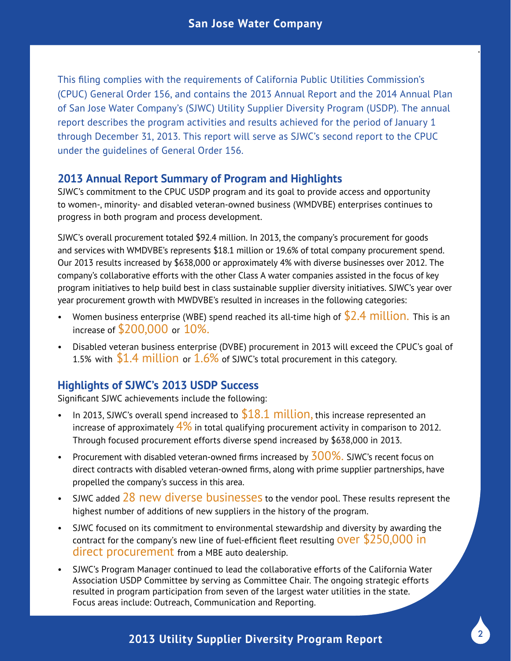.

This filing complies with the requirements of California Public Utilities Commission's (CPUC) General Order 156, and contains the 2013 Annual Report and the 2014 Annual Plan of San Jose Water Company's (SJWC) Utility Supplier Diversity Program (USDP). The annual report describes the program activities and results achieved for the period of January 1 through December 31, 2013. This report will serve as SJWC's second report to the CPUC under the guidelines of General Order 156.

## **2013 Annual Report Summary of Program and Highlights**

SJWC's commitment to the CPUC USDP program and its goal to provide access and opportunity to women-, minority- and disabled veteran-owned business (WMDVBE) enterprises continues to progress in both program and process development.

SJWC's overall procurement totaled \$92.4 million. In 2013, the company's procurement for goods and services with WMDVBE's represents \$18.1 million or 19.6% of total company procurement spend. Our 2013 results increased by \$638,000 or approximately 4% with diverse businesses over 2012. The company's collaborative efforts with the other Class A water companies assisted in the focus of key program initiatives to help build best in class sustainable supplier diversity initiatives. SJWC's year over year procurement growth with MWDVBE's resulted in increases in the following categories:

- Women business enterprise (WBE) spend reached its all-time high of  $$2.4$  million. This is an increase of \$200,000 or 10%.
- Disabled veteran business enterprise (DVBE) procurement in 2013 will exceed the CPUC's goal of 1.5% with  $$1.4$  million or  $1.6\%$  of SJWC's total procurement in this category.

## **Highlights of SJWC's 2013 USDP Success**

Significant SJWC achievements include the following:

- In 2013, SJWC's overall spend increased to  $$18.1$  million, this increase represented an increase of approximately  $4\%$  in total qualifying procurement activity in comparison to 2012. Through focused procurement efforts diverse spend increased by \$638,000 in 2013.
- Procurement with disabled veteran-owned firms increased by  $300\%$ . SJWC's recent focus on direct contracts with disabled veteran-owned firms, along with prime supplier partnerships, have propelled the company's success in this area.
- SJWC added 28 new diverse businesses to the vendor pool. These results represent the highest number of additions of new suppliers in the history of the program.
- SJWC focused on its commitment to environmental stewardship and diversity by awarding the contract for the company's new line of fuel-efficient fleet resulting **OVET** \$250,000 in direct procurement from a MBE auto dealership.
- SJWC's Program Manager continued to lead the collaborative efforts of the California Water Association USDP Committee by serving as Committee Chair. The ongoing strategic efforts resulted in program participation from seven of the largest water utilities in the state. Focus areas include: Outreach, Communication and Reporting.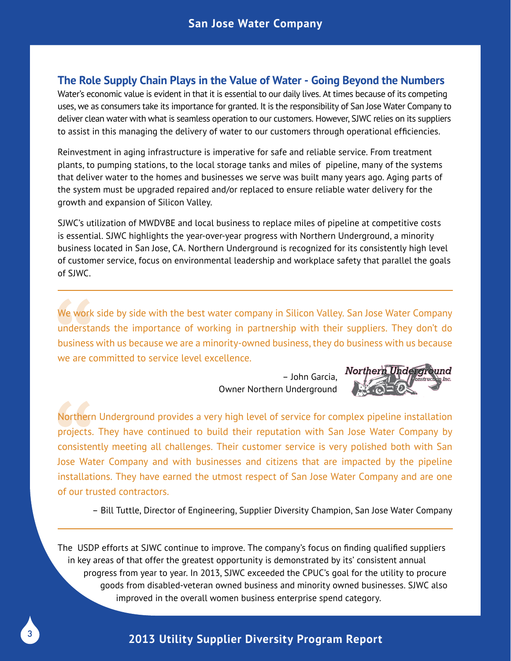### **The Role Supply Chain Plays in the Value of Water - Going Beyond the Numbers**

Water's economic value is evident in that it is essential to our daily lives. At times because of its competing uses, we as consumers take its importance for granted. It is the responsibility of San Jose Water Company to deliver clean water with what is seamless operation to our customers. However, SJWC relies on its suppliers to assist in this managing the delivery of water to our customers through operational efficiencies.

Reinvestment in aging infrastructure is imperative for safe and reliable service. From treatment plants, to pumping stations, to the local storage tanks and miles of pipeline, many of the systems that deliver water to the homes and businesses we serve was built many years ago. Aging parts of the system must be upgraded repaired and/or replaced to ensure reliable water delivery for the growth and expansion of Silicon Valley.

SJWC's utilization of MWDVBE and local business to replace miles of pipeline at competitive costs is essential. SJWC highlights the year-over-year progress with Northern Underground, a minority business located in San Jose, CA. Northern Underground is recognized for its consistently high level of customer service, focus on environmental leadership and workplace safety that parallel the goals of SJWC.

We work side by side with the best water company in Silicon Valley. San Jose Water Company understands the importance of working in partnership with their suppliers. They don't do business with us because we are a minority-owned business, they do business with us because we are committed to service level excellence.

> – John Garcia, Owner Northern Underground



Northern Underground provides a very high level of service for complex pipeline installation projects. They have continued to build their reputation with San Jose Water Company by consistently meeting all challenges. Their customer service is very polished both with San Jose Water Company and with businesses and citizens that are impacted by the pipeline installations. They have earned the utmost respect of San Jose Water Company and are one of our trusted contractors.

– Bill Tuttle, Director of Engineering, Supplier Diversity Champion, San Jose Water Company

The USDP efforts at SJWC continue to improve. The company's focus on finding qualified suppliers in key areas of that offer the greatest opportunity is demonstrated by its' consistent annual progress from year to year. In 2013, SJWC exceeded the CPUC's goal for the utility to procure goods from disabled-veteran owned business and minority owned businesses. SJWC also improved in the overall women business enterprise spend category.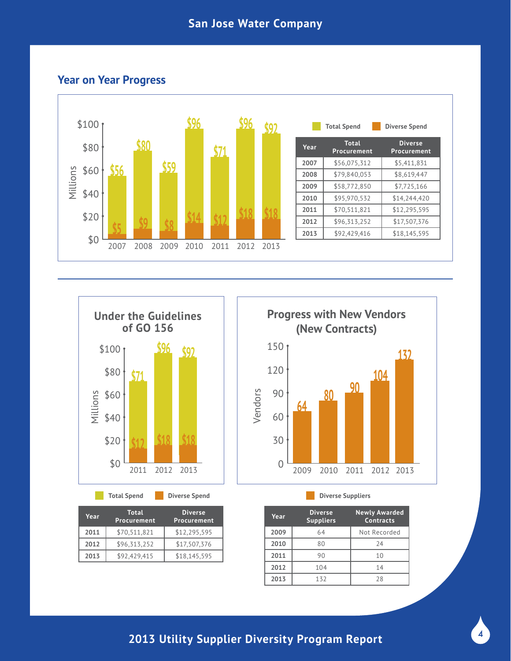## **Year on Year Progress**





**Total Spend**

| Year | <b>Total</b><br>Procurement | <b>Diverse</b><br>Procurement |
|------|-----------------------------|-------------------------------|
| 2011 | \$70,511,821                | \$12,295,595                  |
| 2012 | \$96,313,252                | \$17,507,376                  |
| 2013 | \$92,429,415                | \$18,145,595                  |
|      |                             |                               |



**Diverse Spend Diverse Suppliers**

| Year | <b>Diverse</b><br><b>Suppliers</b> | <b>Newly Awarded</b><br>Contracts |
|------|------------------------------------|-----------------------------------|
| 2009 | 64                                 | Not Recorded                      |
| 2010 | 80                                 | 74                                |
| 2011 | 90                                 | 10                                |
| 2012 | 104                                | 14                                |
| 2013 | 132                                | 28                                |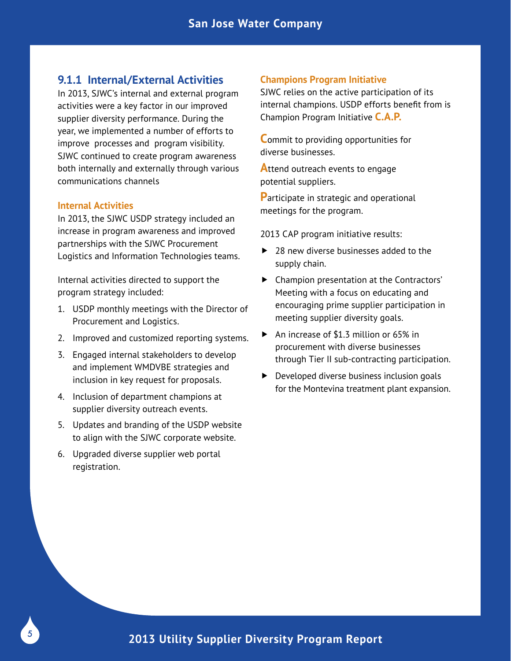### **9.1.1 Internal/External Activities**

In 2013, SJWC's internal and external program activities were a key factor in our improved supplier diversity performance. During the year, we implemented a number of efforts to improve processes and program visibility. SJWC continued to create program awareness both internally and externally through various communications channels

#### **Internal Activities**

In 2013, the SJWC USDP strategy included an increase in program awareness and improved partnerships with the SJWC Procurement Logistics and Information Technologies teams.

Internal activities directed to support the program strategy included:

- 1. USDP monthly meetings with the Director of Procurement and Logistics.
- 2. Improved and customized reporting systems.
- 3. Engaged internal stakeholders to develop and implement WMDVBE strategies and inclusion in key request for proposals.
- 4. Inclusion of department champions at supplier diversity outreach events.
- 5. Updates and branding of the USDP website to align with the SJWC corporate website.
- 6. Upgraded diverse supplier web portal registration.

#### **Champions Program Initiative**

SJWC relies on the active participation of its internal champions. USDP efforts benefit from is Champion Program Initiative **C.A.P.**

**C**ommit to providing opportunities for diverse businesses.

**Attend outreach events to engage** potential suppliers.

**P**articipate in strategic and operational meetings for the program.

2013 CAP program initiative results:

- ▶ 28 new diverse businesses added to the supply chain.
- Champion presentation at the Contractors' Meeting with a focus on educating and encouraging prime supplier participation in meeting supplier diversity goals.
- ▶ An increase of \$1.3 million or 65% in procurement with diverse businesses through Tier II sub-contracting participation.
- **Developed diverse business inclusion goals** for the Montevina treatment plant expansion.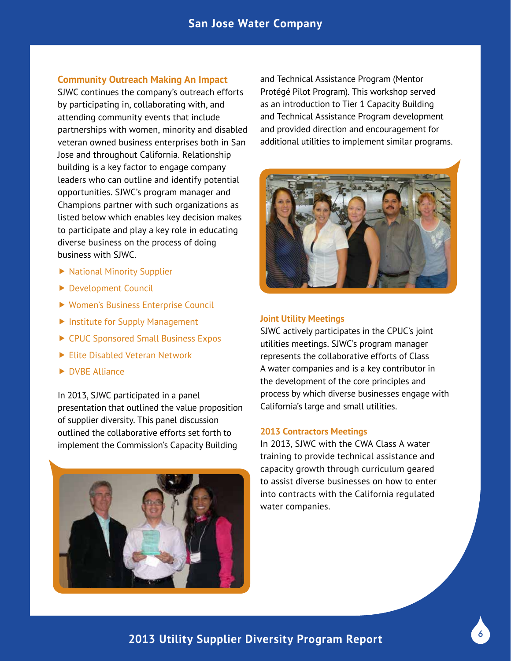#### **Community Outreach Making An Impact**

SJWC continues the company's outreach efforts by participating in, collaborating with, and attending community events that include partnerships with women, minority and disabled veteran owned business enterprises both in San Jose and throughout California. Relationship building is a key factor to engage company leaders who can outline and identify potential opportunities. SJWC's program manager and Champions partner with such organizations as listed below which enables key decision makes to participate and play a key role in educating diverse business on the process of doing business with SJWC.

- ▶ National Minority Supplier
- ▶ Development Council
- ▶ Women's Business Enterprise Council
- **Institute for Supply Management**
- ▶ CPUC Sponsored Small Business Expos
- Elite Disabled Veteran Network
- DVBE Alliance

In 2013, SJWC participated in a panel presentation that outlined the value proposition of supplier diversity. This panel discussion outlined the collaborative efforts set forth to implement the Commission's Capacity Building



and Technical Assistance Program (Mentor Protégé Pilot Program). This workshop served as an introduction to Tier 1 Capacity Building and Technical Assistance Program development and provided direction and encouragement for additional utilities to implement similar programs.



#### **Joint Utility Meetings**

SJWC actively participates in the CPUC's joint utilities meetings. SJWC's program manager represents the collaborative efforts of Class A water companies and is a key contributor in the development of the core principles and process by which diverse businesses engage with California's large and small utilities.

#### **2013 Contractors Meetings**

In 2013, SJWC with the CWA Class A water training to provide technical assistance and capacity growth through curriculum geared to assist diverse businesses on how to enter into contracts with the California regulated water companies.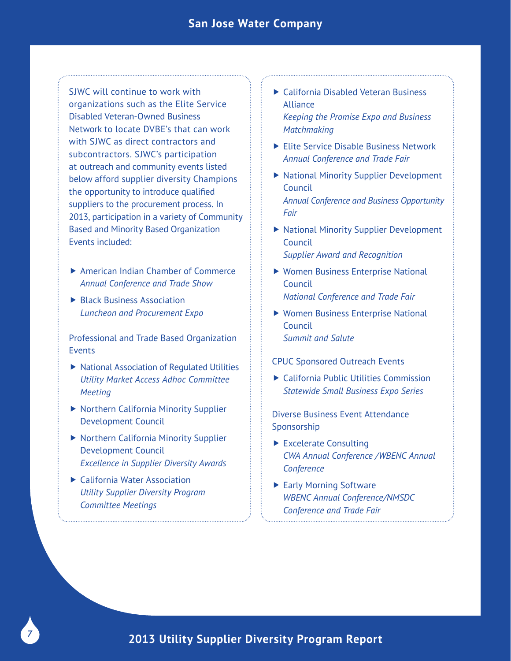SJWC will continue to work with organizations such as the Elite Service Disabled Veteran-Owned Business Network to locate DVBE's that can work with SJWC as direct contractors and subcontractors. SJWC's participation at outreach and community events listed below afford supplier diversity Champions the opportunity to introduce qualified suppliers to the procurement process. In 2013, participation in a variety of Community Based and Minority Based Organization Events included:

- ▶ American Indian Chamber of Commerce *Annual Conference and Trade Show*
- ▶ Black Business Association *Luncheon and Procurement Expo*

Professional and Trade Based Organization Events

- ▶ National Association of Regulated Utilities *Utility Market Access Adhoc Committee Meeting*
- ▶ Northern California Minority Supplier Development Council
- ▶ Northern California Minority Supplier Development Council *Excellence in Supplier Diversity Awards*
- ▶ California Water Association *Utility Supplier Diversity Program Committee Meetings*
- ▶ California Disabled Veteran Business Alliance *Keeping the Promise Expo and Business Matchmaking*
- Elite Service Disable Business Network *Annual Conference and Trade Fair*
- ▶ National Minority Supplier Development Council *Annual Conference and Business Opportunity Fair*
- ▶ National Minority Supplier Development Council *Supplier Award and Recognition*
- Women Business Enterprise National Council *National Conference and Trade Fair*
- Women Business Enterprise National Council *Summit and Salute*

#### CPUC Sponsored Outreach Events

▶ California Public Utilities Commission *Statewide Small Business Expo Series*

Diverse Business Event Attendance Sponsorship

- ▶ Excelerate Consulting *CWA Annual Conference /WBENC Annual Conference*
- ▶ Early Morning Software *WBENC Annual Conference/NMSDC Conference and Trade Fair*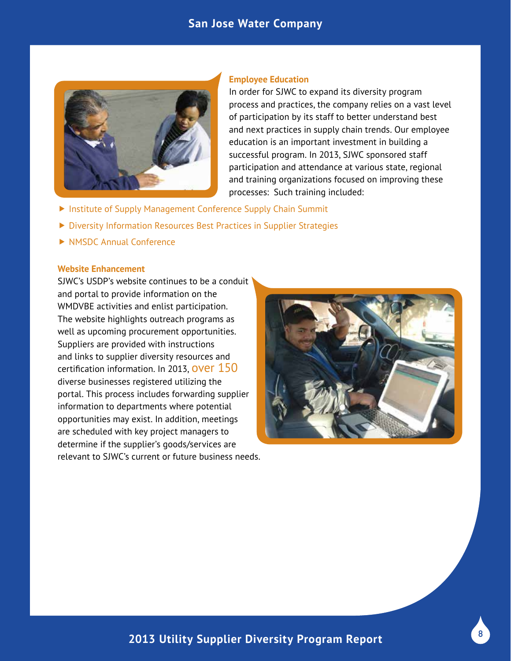### **San Jose Water Company**



#### **Employee Education**

In order for SJWC to expand its diversity program process and practices, the company relies on a vast level of participation by its staff to better understand best and next practices in supply chain trends. Our employee education is an important investment in building a successful program. In 2013, SJWC sponsored staff participation and attendance at various state, regional and training organizations focused on improving these processes: Such training included:

- **Institute of Supply Management Conference Supply Chain Summit**
- ▶ Diversity Information Resources Best Practices in Supplier Strategies
- ▶ NMSDC Annual Conference

#### **Website Enhancement**

SJWC's USDP's website continues to be a conduit and portal to provide information on the WMDVBE activities and enlist participation. The website highlights outreach programs as well as upcoming procurement opportunities. Suppliers are provided with instructions and links to supplier diversity resources and certification information. In 2013, OVET 150 diverse businesses registered utilizing the portal. This process includes forwarding supplier information to departments where potential opportunities may exist. In addition, meetings are scheduled with key project managers to determine if the supplier's goods/services are relevant to SJWC's current or future business needs.

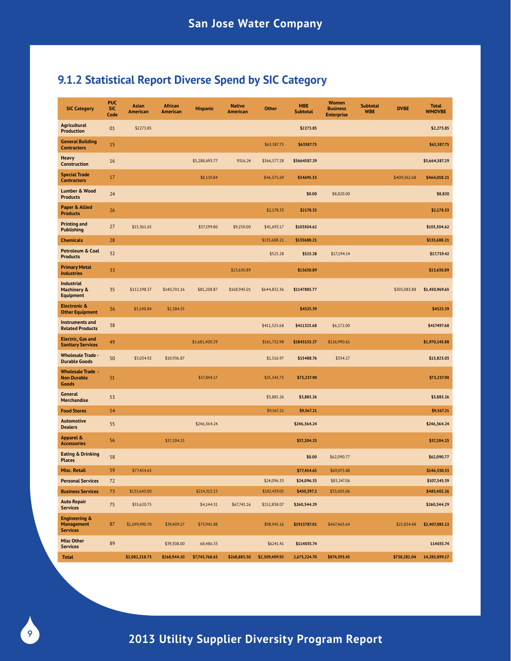## **9.1.2 Statistical Report Diverse Spend by SIC Category**

| <b>SIC Category</b>                                              | <b>PUC</b><br><b>SIC</b><br>Code | Asian<br>American | <b>African</b><br>American | <b>Hispanic</b> | <b>Native</b><br>American | <b>Other</b>   | <b>MBE</b><br><b>Subtotal</b> | <b>Women</b><br><b>Business</b><br><b>Enterprise</b> | <b>Subtotal</b><br><b>WBE</b> | <b>DVBE</b>  | <b>Total</b><br><b>WMDVBE</b> |
|------------------------------------------------------------------|----------------------------------|-------------------|----------------------------|-----------------|---------------------------|----------------|-------------------------------|------------------------------------------------------|-------------------------------|--------------|-------------------------------|
| <b>Agricultural</b><br><b>Production</b>                         | 01                               | \$2273.85         |                            |                 |                           |                | \$2273.85                     |                                                      |                               |              | \$2,273.85                    |
| <b>General Building</b><br><b>Contractors</b>                    | 15                               |                   |                            |                 |                           | \$63,387.75    | \$63387.75                    |                                                      |                               |              | \$63,387.75                   |
| Heavy<br><b>Construction</b>                                     | 16                               |                   |                            | \$5,288,693.77  | 9316.24                   | \$366,577.28   | \$5664587.29                  |                                                      |                               |              | \$5,664,587.29                |
| <b>Special Trade</b><br><b>Contractors</b>                       | 17                               |                   |                            | \$8,119.84      |                           | \$46,575.69    | \$54695.53                    |                                                      |                               | \$409,362.68 | \$464,058.21                  |
| <b>Lumber &amp; Wood</b><br><b>Products</b>                      | 24                               |                   |                            |                 |                           |                | \$0.00                        | \$8,820.00                                           |                               |              | \$8,820                       |
| Paper & Allied<br><b>Products</b>                                | 26                               |                   |                            |                 |                           | \$2,178.33     | \$2178.33                     |                                                      |                               |              | \$2,178.33                    |
| <b>Printing and</b><br><b>Publishing</b>                         | 27                               | \$15,361.65       |                            | \$37,199.80     | \$9,250.00                | \$41,693.17    | \$103504.62                   |                                                      |                               |              | \$103,504.62                  |
| <b>Chemicals</b>                                                 | 28                               |                   |                            |                 |                           | \$135,688.21   | \$135688.21                   |                                                      |                               |              | \$135,688.21                  |
| Petroleum & Coal<br><b>Products</b>                              | 32                               |                   |                            |                 |                           | \$525.28       | \$525.28                      | \$17,194.14                                          |                               |              | \$17,719.42                   |
| <b>Primary Metal</b><br><b>Industries</b>                        | 33                               |                   |                            |                 | \$13,630.89               |                | \$13630.89                    |                                                      |                               |              | \$13,630.89                   |
| <b>Industrial</b><br><b>Machinery &amp;</b><br><b>Equipment</b>  | 35                               | \$112,198.37      | \$140,701.16               | \$81,208.87     | \$168,945.01              | \$644,832.36   | \$1147885.77                  |                                                      |                               | \$303,083.88 | \$1,450,969.65                |
| <b>Electronic &amp;</b><br><b>Other Equipment</b>                | 36                               | \$3,140.84        | \$1,384.55                 |                 |                           |                | \$4525.39                     |                                                      |                               |              | \$4525.39                     |
| <b>Instruments and</b><br><b>Related Products</b>                | 38                               |                   |                            |                 |                           | \$411,325.68   | \$411325.68                   | \$6,172.00                                           |                               |              | \$417497.68                   |
| <b>Electric, Gas and</b><br><b>Sanitary Services</b>             | 49                               |                   |                            | \$1,681,400.29  |                           | \$161,752.98   | \$1843153.27                  | \$126,990.61                                         |                               |              | \$1,970,143.88                |
| <b>Wholesale Trade -</b><br><b>Durable Goods</b>                 | 50                               | \$3,034.92        | \$10,936.87                |                 |                           | \$1,516.97     | \$15488.76                    | \$334.27                                             |                               |              | \$15,823.03                   |
| <b>Wholesale Trade -</b><br><b>Non Durable</b><br>Goods          | 51                               |                   |                            | \$37,894.17     |                           | \$35,343.73    | \$73,237.90                   |                                                      |                               |              | \$73,237.90                   |
| General<br><b>Merchandise</b>                                    | 53                               |                   |                            |                 |                           | \$3,885.26     | \$3,885.26                    |                                                      |                               |              | \$3,885.26                    |
| <b>Food Stores</b>                                               | 54                               |                   |                            |                 |                           | \$9,567.21     | \$9,567.21                    |                                                      |                               |              | \$9,567.21                    |
| <b>Automotive</b><br><b>Dealers</b>                              | 55                               |                   |                            | \$246,364.24    |                           |                | \$246,364.24                  |                                                      |                               |              | \$246,364.24                  |
| Apparel &<br><b>Accessories</b>                                  | 56                               |                   | \$37,204.25                |                 |                           |                | \$37,204.25                   |                                                      |                               |              | \$37,204.25                   |
| <b>Eating &amp; Drinking</b><br><b>Places</b>                    | 58                               |                   |                            |                 |                           |                | \$0.00                        | \$62,090.77                                          |                               |              | \$62,090.77                   |
| <b>Misc. Retail</b>                                              | 59                               | \$77,454.65       |                            |                 |                           |                | \$77,454.65                   | \$69,075.88                                          |                               |              | \$146,530.53                  |
| <b>Personal Services</b>                                         | 72                               |                   |                            |                 |                           | \$24,096.33    | \$24,096.33                   | \$83,247.06                                          |                               |              | \$107,343.39                  |
| <b>Business Services</b>                                         | 73                               | \$133,643.00      |                            | \$214,315.15    |                           | \$102,439.05   | \$450,397.2                   | \$33,005.06                                          |                               |              | \$483,402.26                  |
| <b>Auto Repair</b><br><b>Services</b>                            | 75                               | \$35,620.75       |                            | \$4,144.31      | \$67,741.16               | \$152,838.07   | \$260,344.29                  |                                                      |                               |              | \$260,344.29                  |
| <b>Engineering &amp;</b><br><b>Management</b><br><b>Services</b> | 87                               | \$1,699,490.70    | \$39,409.27                | \$75,941.88     |                           | \$98,945.16    | \$1913787.01                  | \$467,463.64                                         |                               | \$25,834.48  | \$2,407,085.13                |
| <b>Misc Other</b><br><b>Services</b>                             | 89                               |                   | \$39,308.00                | 68,486.33       |                           | \$6241.41      | \$114035.74                   |                                                      |                               |              | 114035.74                     |
| <b>Total</b>                                                     |                                  | \$2,082,218.73    | \$268,944.10               | \$7,743,768.65  | \$268,883.30              | \$2,309,409.92 | 2,673,224.70                  | \$874,393.43                                         |                               | \$738,281.04 | 14,285,899.17                 |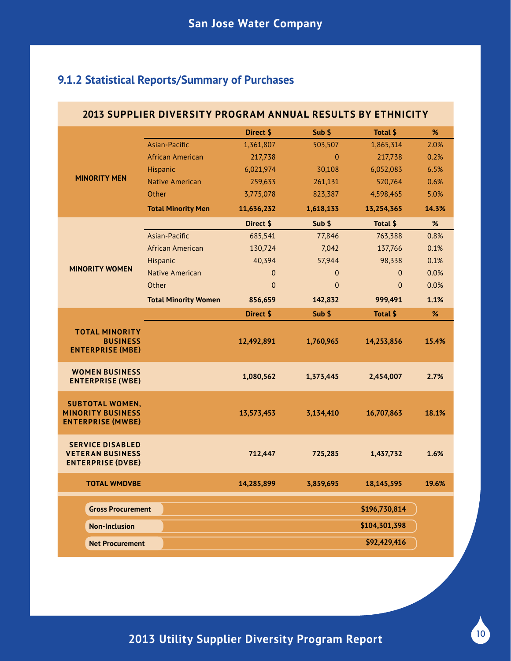## **9.1.2 Statistical Reports/Summary of Purchases**

| 2013 SUPPLIER DIVERSITY PROGRAM ANNUAL RESULTS BY ETHNICITY                    |                             |                |                |                |       |  |  |  |
|--------------------------------------------------------------------------------|-----------------------------|----------------|----------------|----------------|-------|--|--|--|
|                                                                                |                             | Direct \$      | Sub \$         | Total \$       | %     |  |  |  |
|                                                                                | Asian-Pacific               | 1,361,807      | 503,507        | 1,865,314      | 2.0%  |  |  |  |
|                                                                                | African American            | 217,738        | $\overline{0}$ | 217,738        | 0.2%  |  |  |  |
|                                                                                | Hispanic                    | 6,021,974      | 30,108         | 6,052,083      | 6.5%  |  |  |  |
| <b>MINORITY MEN</b>                                                            | <b>Native American</b>      | 259,633        | 261,131        | 520,764        | 0.6%  |  |  |  |
|                                                                                | Other                       | 3,775,078      | 823,387        | 4,598,465      | 5.0%  |  |  |  |
|                                                                                | <b>Total Minority Men</b>   | 11,636,232     | 1,618,133      | 13,254,365     | 14.3% |  |  |  |
|                                                                                |                             | Direct \$      | Sub \$         | Total \$       | %     |  |  |  |
|                                                                                | Asian-Pacific               | 685,541        | 77,846         | 763,388        | 0.8%  |  |  |  |
|                                                                                | African American            | 130,724        | 7,042          | 137,766        | 0.1%  |  |  |  |
|                                                                                | Hispanic                    | 40,394         | 57,944         | 98,338         | 0.1%  |  |  |  |
| <b>MINORITY WOMEN</b>                                                          | <b>Native American</b>      | $\mathbf 0$    | $\theta$       | $\overline{0}$ | 0.0%  |  |  |  |
|                                                                                | Other                       | $\overline{0}$ | $\overline{0}$ | $\Omega$       | 0.0%  |  |  |  |
|                                                                                | <b>Total Minority Women</b> | 856,659        | 142,832        | 999,491        | 1.1%  |  |  |  |
|                                                                                |                             | Direct \$      | Sub \$         | Total \$       | %     |  |  |  |
| <b>TOTAL MINORITY</b><br><b>BUSINESS</b><br><b>ENTERPRISE (MBE)</b>            |                             | 12,492,891     | 1,760,965      | 14,253,856     | 15.4% |  |  |  |
|                                                                                |                             |                |                |                |       |  |  |  |
| <b>WOMEN BUSINESS</b><br><b>ENTERPRISE (WBE)</b>                               |                             | 1,080,562      | 1,373,445      | 2,454,007      | 2.7%  |  |  |  |
| <b>SUBTOTAL WOMEN,</b><br><b>MINORITY BUSINESS</b><br><b>ENTERPRISE (MWBE)</b> |                             | 13,573,453     | 3,134,410      | 16,707,863     | 18.1% |  |  |  |
| <b>SERVICE DISABLED</b><br><b>VETERAN BUSINESS</b><br><b>ENTERPRISE (DVBE)</b> |                             | 712,447        | 725,285        | 1,437,732      | 1.6%  |  |  |  |
| <b>TOTAL WMDVBE</b>                                                            |                             | 14,285,899     | 3,859,695      | 18,145,595     | 19.6% |  |  |  |
| <b>Gross Procurement</b>                                                       |                             |                |                | \$196,730,814  |       |  |  |  |
| <b>Non-Inclusion</b>                                                           |                             |                |                | \$104,301,398  |       |  |  |  |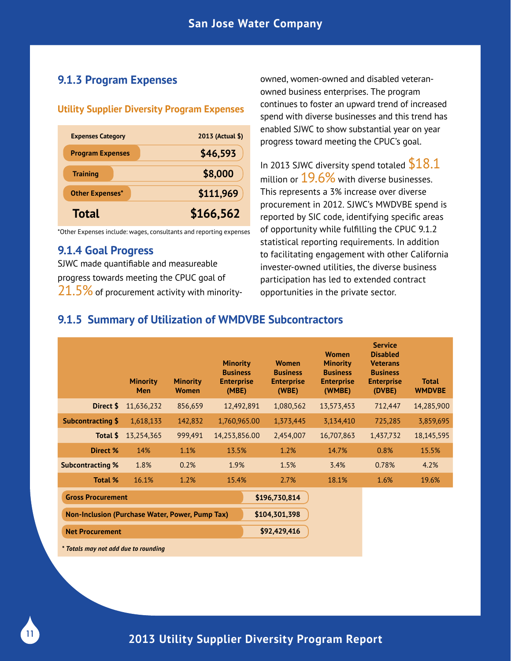## **9.1.3 Program Expenses**

#### **Utility Supplier Diversity Program Expenses**

| <b>Expenses Category</b> | 2013 (Actual \$) |
|--------------------------|------------------|
| <b>Program Expenses</b>  | \$46,593         |
| <b>Training</b>          | \$8,000          |
| <b>Other Expenses*</b>   | \$111,969        |
| <b>Total</b>             | \$166,562        |

\*Other Expenses include: wages, consultants and reporting expenses

### **9.1.4 Goal Progress**

SJWC made quantifiable and measureable progress towards meeting the CPUC goal of  $21.5\%$  of procurement activity with minorityowned, women-owned and disabled veteranowned business enterprises. The program continues to foster an upward trend of increased spend with diverse businesses and this trend has enabled SJWC to show substantial year on year progress toward meeting the CPUC's goal.

In 2013 SJWC diversity spend totaled  $$18.1$ million or  $19.6\%$  with diverse businesses. This represents a 3% increase over diverse procurement in 2012. SJWC's MWDVBE spend is reported by SIC code, identifying specific areas of opportunity while fulfilling the CPUC 9.1.2 statistical reporting requirements. In addition to facilitating engagement with other California invester-owned utilities, the diverse business participation has led to extended contract opportunities in the private sector.

## **9.1.5 Summary of Utilization of WMDVBE Subcontractors**

|                                                 | <b>Minority</b><br><b>Men</b> | <b>Minority</b><br><b>Women</b> | <b>Minority</b><br><b>Business</b><br><b>Enterprise</b><br>(MBE) | <b>Women</b><br><b>Business</b><br><b>Enterprise</b><br>(WBE) | <b>Women</b><br><b>Minority</b><br><b>Business</b><br><b>Enterprise</b><br>(WMBE) | <b>Service</b><br><b>Disabled</b><br><b>Veterans</b><br><b>Business</b><br><b>Enterprise</b><br>(DVBE) | <b>Total</b><br><b>WMDVBE</b> |
|-------------------------------------------------|-------------------------------|---------------------------------|------------------------------------------------------------------|---------------------------------------------------------------|-----------------------------------------------------------------------------------|--------------------------------------------------------------------------------------------------------|-------------------------------|
| Direct \$                                       | 11,636,232                    | 856,659                         | 12,492,891                                                       | 1,080,562                                                     | 13,573,453                                                                        | 712,447                                                                                                | 14,285,900                    |
| <b>Subcontracting \$</b>                        | 1,618,133                     | 142,832                         | 1,760,965.00                                                     | 1,373,445                                                     | 3,134,410                                                                         | 725,285                                                                                                | 3,859,695                     |
| Total \$                                        | 13,254,365                    | 999,491                         | 14,253,856.00                                                    | 2,454,007                                                     | 16,707,863                                                                        | 1,437,732                                                                                              | 18, 145, 595                  |
| Direct %                                        | 14%                           | 1.1%                            | 13.5%                                                            | 1.2%                                                          | 14.7%                                                                             | 0.8%                                                                                                   | 15.5%                         |
| <b>Subcontracting %</b>                         | 1.8%                          | 0.2%                            | 1.9%                                                             | 1.5%                                                          | 3.4%                                                                              | 0.78%                                                                                                  | 4.2%                          |
| <b>Total %</b>                                  | 16.1%                         | 1.2%                            | 15.4%                                                            | 2.7%                                                          | 18.1%                                                                             | 1.6%                                                                                                   | 19.6%                         |
| \$196,730,814<br><b>Gross Procurement</b>       |                               |                                 |                                                                  |                                                               |                                                                                   |                                                                                                        |                               |
| Non-Inclusion (Purchase Water, Power, Pump Tax) |                               |                                 |                                                                  | \$104,301,398                                                 |                                                                                   |                                                                                                        |                               |
| <b>Net Procurement</b>                          |                               |                                 |                                                                  | \$92,429,416                                                  |                                                                                   |                                                                                                        |                               |
| * Totals may not add due to rounding            |                               |                                 |                                                                  |                                                               |                                                                                   |                                                                                                        |                               |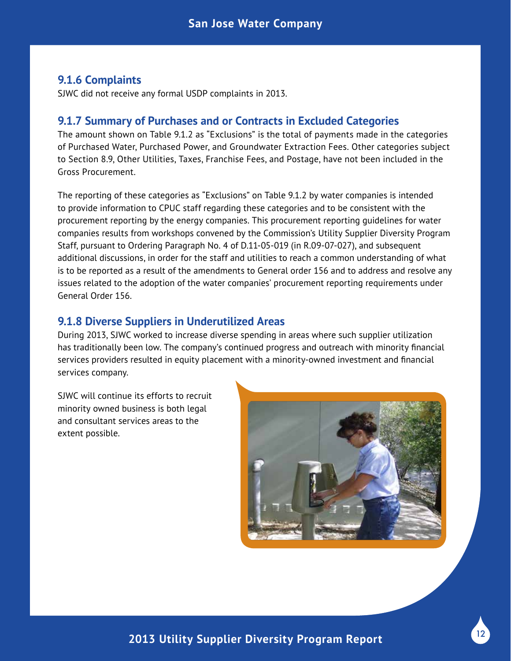### **9.1.6 Complaints**

SJWC did not receive any formal USDP complaints in 2013.

### **9.1.7 Summary of Purchases and or Contracts in Excluded Categories**

The amount shown on Table 9.1.2 as "Exclusions" is the total of payments made in the categories of Purchased Water, Purchased Power, and Groundwater Extraction Fees. Other categories subject to Section 8.9, Other Utilities, Taxes, Franchise Fees, and Postage, have not been included in the Gross Procurement.

The reporting of these categories as "Exclusions" on Table 9.1.2 by water companies is intended to provide information to CPUC staff regarding these categories and to be consistent with the procurement reporting by the energy companies. This procurement reporting guidelines for water companies results from workshops convened by the Commission's Utility Supplier Diversity Program Staff, pursuant to Ordering Paragraph No. 4 of D.11-05-019 (in R.09-07-027), and subsequent additional discussions, in order for the staff and utilities to reach a common understanding of what is to be reported as a result of the amendments to General order 156 and to address and resolve any issues related to the adoption of the water companies' procurement reporting requirements under General Order 156.

#### **9.1.8 Diverse Suppliers in Underutilized Areas**

During 2013, SJWC worked to increase diverse spending in areas where such supplier utilization has traditionally been low. The company's continued progress and outreach with minority financial services providers resulted in equity placement with a minority-owned investment and financial services company.

SJWC will continue its efforts to recruit minority owned business is both legal and consultant services areas to the extent possible.

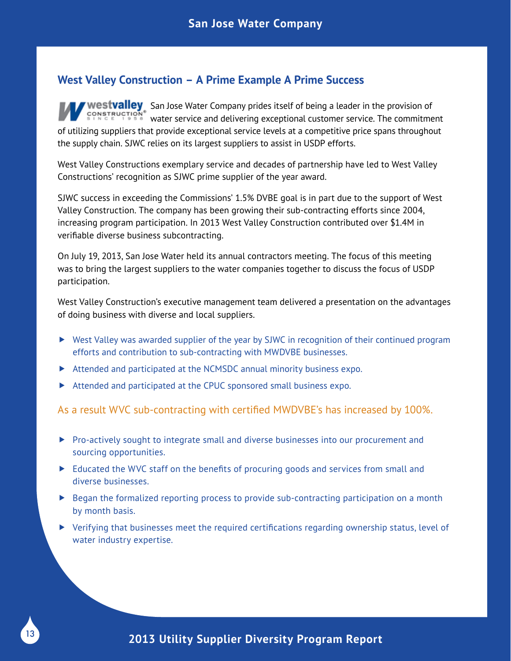## **West Valley Construction – A Prime Example A Prime Success**

Westvalley San Jose Water Company prides itself of being a leader in the provision of EXPRIMENT SHIPPS AND CHANGE AND CHANGE AND CHANGE SERVICE. The commitment of utilizing suppliers that provide exceptional service levels at a competitive price spans throughout the supply chain. SJWC relies on its largest suppliers to assist in USDP efforts.

West Valley Constructions exemplary service and decades of partnership have led to West Valley Constructions' recognition as SJWC prime supplier of the year award.

SJWC success in exceeding the Commissions' 1.5% DVBE goal is in part due to the support of West Valley Construction. The company has been growing their sub-contracting efforts since 2004, increasing program participation. In 2013 West Valley Construction contributed over \$1.4M in verifiable diverse business subcontracting.

On July 19, 2013, San Jose Water held its annual contractors meeting. The focus of this meeting was to bring the largest suppliers to the water companies together to discuss the focus of USDP participation.

West Valley Construction's executive management team delivered a presentation on the advantages of doing business with diverse and local suppliers.

- ▶ West Valley was awarded supplier of the year by SJWC in recognition of their continued program efforts and contribution to sub-contracting with MWDVBE businesses.
- Attended and participated at the NCMSDC annual minority business expo.
- Attended and participated at the CPUC sponsored small business expo.

As a result WVC sub-contracting with certified MWDVBE's has increased by 100%.

- ▶ Pro-actively sought to integrate small and diverse businesses into our procurement and sourcing opportunities.
- $\blacktriangleright$  Educated the WVC staff on the benefits of procuring goods and services from small and diverse businesses.
- $\triangleright$  Began the formalized reporting process to provide sub-contracting participation on a month by month basis.
- Verifying that businesses meet the required certifications regarding ownership status, level of water industry expertise.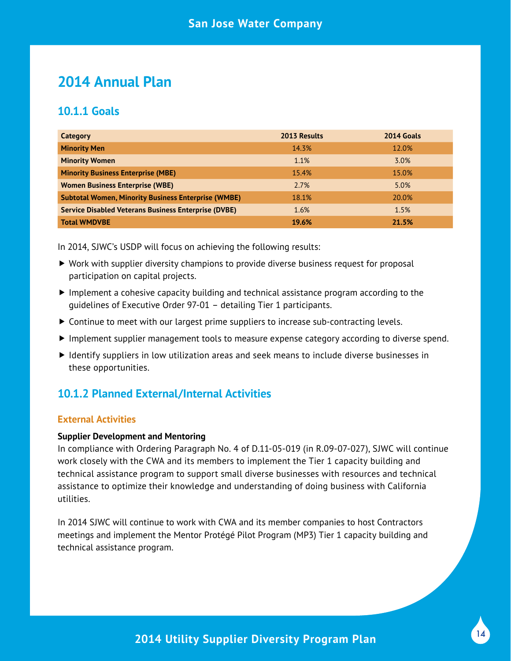## **2014 Annual Plan**

## **10.1.1 Goals**

| Category                                                    | 2013 Results | 2014 Goals |
|-------------------------------------------------------------|--------------|------------|
| <b>Minority Men</b>                                         | 14.3%        | 12.0%      |
| <b>Minority Women</b>                                       | 1.1%         | 3.0%       |
| <b>Minority Business Enterprise (MBE)</b>                   | 15.4%        | 15.0%      |
| <b>Women Business Enterprise (WBE)</b>                      | 2.7%         | 5.0%       |
| <b>Subtotal Women, Minority Business Enterprise (WMBE)</b>  | 18.1%        | 20.0%      |
| <b>Service Disabled Veterans Business Enterprise (DVBE)</b> | 1.6%         | 1.5%       |
| <b>Total WMDVBE</b>                                         | 19.6%        | 21.5%      |

In 2014, SJWC's USDP will focus on achieving the following results:

- Work with supplier diversity champions to provide diverse business request for proposal participation on capital projects.
- $\blacktriangleright$  Implement a cohesive capacity building and technical assistance program according to the guidelines of Executive Order 97-01 – detailing Tier 1 participants.
- Continue to meet with our largest prime suppliers to increase sub-contracting levels.
- Implement supplier management tools to measure expense category according to diverse spend.
- Identify suppliers in low utilization areas and seek means to include diverse businesses in these opportunities.

## **10.1.2 Planned External/Internal Activities**

#### **External Activities**

#### **Supplier Development and Mentoring**

In compliance with Ordering Paragraph No. 4 of D.11-05-019 (in R.09-07-027), SJWC will continue work closely with the CWA and its members to implement the Tier 1 capacity building and technical assistance program to support small diverse businesses with resources and technical assistance to optimize their knowledge and understanding of doing business with California utilities.

In 2014 SJWC will continue to work with CWA and its member companies to host Contractors meetings and implement the Mentor Protégé Pilot Program (MP3) Tier 1 capacity building and technical assistance program.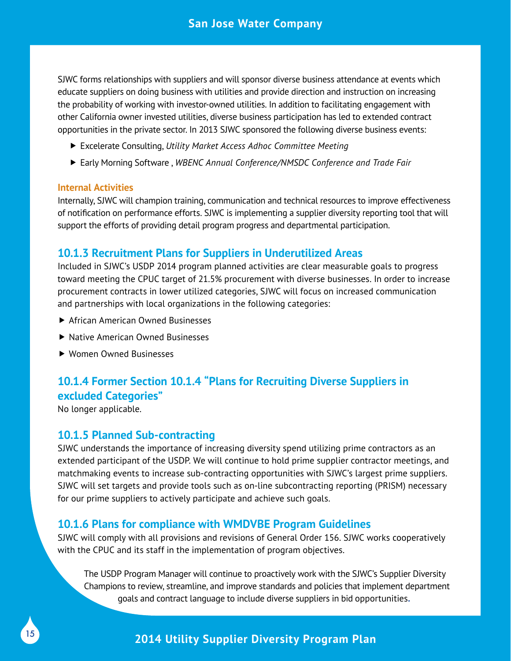SJWC forms relationships with suppliers and will sponsor diverse business attendance at events which educate suppliers on doing business with utilities and provide direction and instruction on increasing the probability of working with investor-owned utilities. In addition to facilitating engagement with other California owner invested utilities, diverse business participation has led to extended contract opportunities in the private sector. In 2013 SJWC sponsored the following diverse business events:

- Excelerate Consulting, *Utility Market Access Adhoc Committee Meeting*
- Early Morning Software , *WBENC Annual Conference/NMSDC Conference and Trade Fair*

#### **Internal Activities**

Internally, SJWC will champion training, communication and technical resources to improve effectiveness of notification on performance efforts. SJWC is implementing a supplier diversity reporting tool that will support the efforts of providing detail program progress and departmental participation.

## **10.1.3 Recruitment Plans for Suppliers in Underutilized Areas**

Included in SJWC's USDP 2014 program planned activities are clear measurable goals to progress toward meeting the CPUC target of 21.5% procurement with diverse businesses. In order to increase procurement contracts in lower utilized categories, SJWC will focus on increased communication and partnerships with local organizations in the following categories:

- ▶ African American Owned Businesses
- ▶ Native American Owned Businesses
- Women Owned Businesses

## **10.1.4 Former Section 10.1.4 "Plans for Recruiting Diverse Suppliers in excluded Categories"**

No longer applicable.

15

## **10.1.5 Planned Sub-contracting**

SJWC understands the importance of increasing diversity spend utilizing prime contractors as an extended participant of the USDP. We will continue to hold prime supplier contractor meetings, and matchmaking events to increase sub-contracting opportunities with SJWC's largest prime suppliers. SJWC will set targets and provide tools such as on-line subcontracting reporting (PRISM) necessary for our prime suppliers to actively participate and achieve such goals.

## **10.1.6 Plans for compliance with WMDVBE Program Guidelines**

SJWC will comply with all provisions and revisions of General Order 156. SJWC works cooperatively with the CPUC and its staff in the implementation of program objectives.

The USDP Program Manager will continue to proactively work with the SJWC's Supplier Diversity Champions to review, streamline, and improve standards and policies that implement department goals and contract language to include diverse suppliers in bid opportunities**.**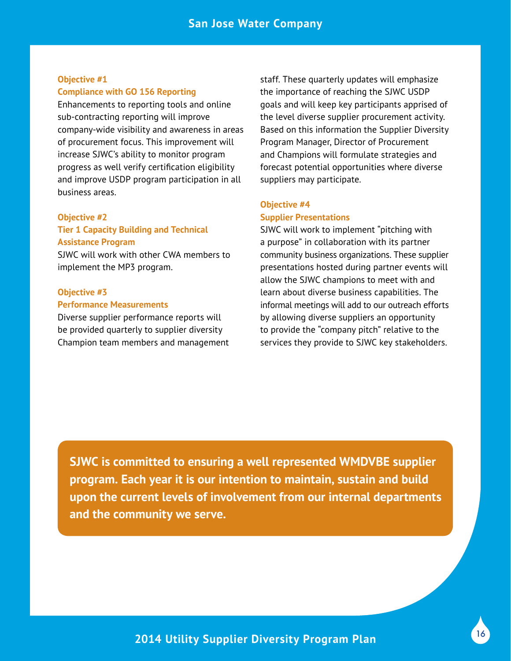#### **Objective #1 Compliance with GO 156 Reporting**

Enhancements to reporting tools and online sub-contracting reporting will improve company-wide visibility and awareness in areas of procurement focus. This improvement will increase SJWC's ability to monitor program progress as well verify certification eligibility and improve USDP program participation in all business areas.

#### **Objective #2**

#### **Tier 1 Capacity Building and Technical Assistance Program**

SJWC will work with other CWA members to implement the MP3 program.

#### **Objective #3**

#### **Performance Measurements**

Diverse supplier performance reports will be provided quarterly to supplier diversity Champion team members and management staff. These quarterly updates will emphasize the importance of reaching the SJWC USDP goals and will keep key participants apprised of the level diverse supplier procurement activity. Based on this information the Supplier Diversity Program Manager, Director of Procurement and Champions will formulate strategies and forecast potential opportunities where diverse suppliers may participate.

#### **Objective #4 Supplier Presentations**

SJWC will work to implement "pitching with a purpose" in collaboration with its partner community business organizations. These supplier presentations hosted during partner events will allow the SJWC champions to meet with and learn about diverse business capabilities. The informal meetings will add to our outreach efforts by allowing diverse suppliers an opportunity to provide the "company pitch" relative to the services they provide to SJWC key stakeholders.

**SJWC is committed to ensuring a well represented WMDVBE supplier program. Each year it is our intention to maintain, sustain and build upon the current levels of involvement from our internal departments and the community we serve.**